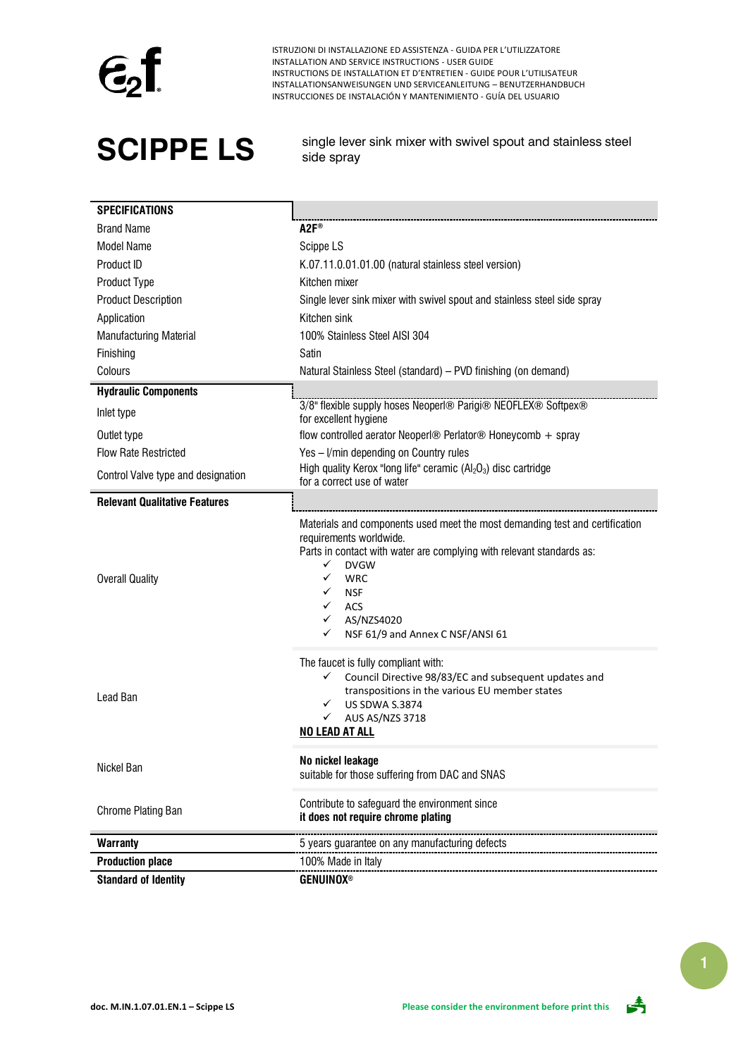

**SCIPPE LS** single lever sink mixer with swivel spout and stainless steel side spray

| <b>SPECIFICATIONS</b>                |                                                                                                                                                                                                                                                                                                                                                                |  |  |
|--------------------------------------|----------------------------------------------------------------------------------------------------------------------------------------------------------------------------------------------------------------------------------------------------------------------------------------------------------------------------------------------------------------|--|--|
| <b>Brand Name</b>                    | $A2F^*$                                                                                                                                                                                                                                                                                                                                                        |  |  |
| <b>Model Name</b>                    | Scippe LS                                                                                                                                                                                                                                                                                                                                                      |  |  |
| Product ID                           | K.07.11.0.01.01.00 (natural stainless steel version)                                                                                                                                                                                                                                                                                                           |  |  |
| Product Type                         | Kitchen mixer                                                                                                                                                                                                                                                                                                                                                  |  |  |
| <b>Product Description</b>           | Single lever sink mixer with swivel spout and stainless steel side spray                                                                                                                                                                                                                                                                                       |  |  |
| Application                          | Kitchen sink                                                                                                                                                                                                                                                                                                                                                   |  |  |
| Manufacturing Material               | 100% Stainless Steel AISI 304                                                                                                                                                                                                                                                                                                                                  |  |  |
| Finishing                            | Satin                                                                                                                                                                                                                                                                                                                                                          |  |  |
| Colours                              | Natural Stainless Steel (standard) - PVD finishing (on demand)                                                                                                                                                                                                                                                                                                 |  |  |
| <b>Hydraulic Components</b>          |                                                                                                                                                                                                                                                                                                                                                                |  |  |
| Inlet type                           | 3/8" flexible supply hoses Neoperl® Parigi® NEOFLEX® Softpex®<br>for excellent hygiene                                                                                                                                                                                                                                                                         |  |  |
| Outlet type                          | flow controlled aerator Neoperl® Perlator® Honeycomb + spray                                                                                                                                                                                                                                                                                                   |  |  |
| <b>Flow Rate Restricted</b>          | Yes - I/min depending on Country rules                                                                                                                                                                                                                                                                                                                         |  |  |
| Control Valve type and designation   | High quality Kerox "long life" ceramic $(AI_2O_3)$ disc cartridge<br>for a correct use of water                                                                                                                                                                                                                                                                |  |  |
| <b>Relevant Qualitative Features</b> |                                                                                                                                                                                                                                                                                                                                                                |  |  |
| <b>Overall Quality</b>               | Materials and components used meet the most demanding test and certification<br>requirements worldwide.<br>Parts in contact with water are complying with relevant standards as:<br>$\checkmark$<br><b>DVGW</b><br>$\checkmark$<br><b>WRC</b><br>✓<br><b>NSF</b><br>$\checkmark$<br>ACS<br>$\checkmark$<br>AS/NZS4020<br>✓<br>NSF 61/9 and Annex C NSF/ANSI 61 |  |  |
| Lead Ban                             | The faucet is fully compliant with:<br>✓<br>Council Directive 98/83/EC and subsequent updates and<br>transpositions in the various EU member states<br><b>US SDWA S.3874</b><br>$\checkmark$<br>$\checkmark$<br>AUS AS/NZS 3718<br><b>NO LEAD AT ALL</b>                                                                                                       |  |  |
| Nickel Ban                           | No nickel leakage<br>suitable for those suffering from DAC and SNAS                                                                                                                                                                                                                                                                                            |  |  |
| Chrome Plating Ban                   | Contribute to safeguard the environment since<br>it does not require chrome plating                                                                                                                                                                                                                                                                            |  |  |
| <b>Warranty</b>                      | 5 years guarantee on any manufacturing defects                                                                                                                                                                                                                                                                                                                 |  |  |
| <b>Production place</b>              | 100% Made in Italy                                                                                                                                                                                                                                                                                                                                             |  |  |
| <b>Standard of Identity</b>          | <b>GENUINOX®</b>                                                                                                                                                                                                                                                                                                                                               |  |  |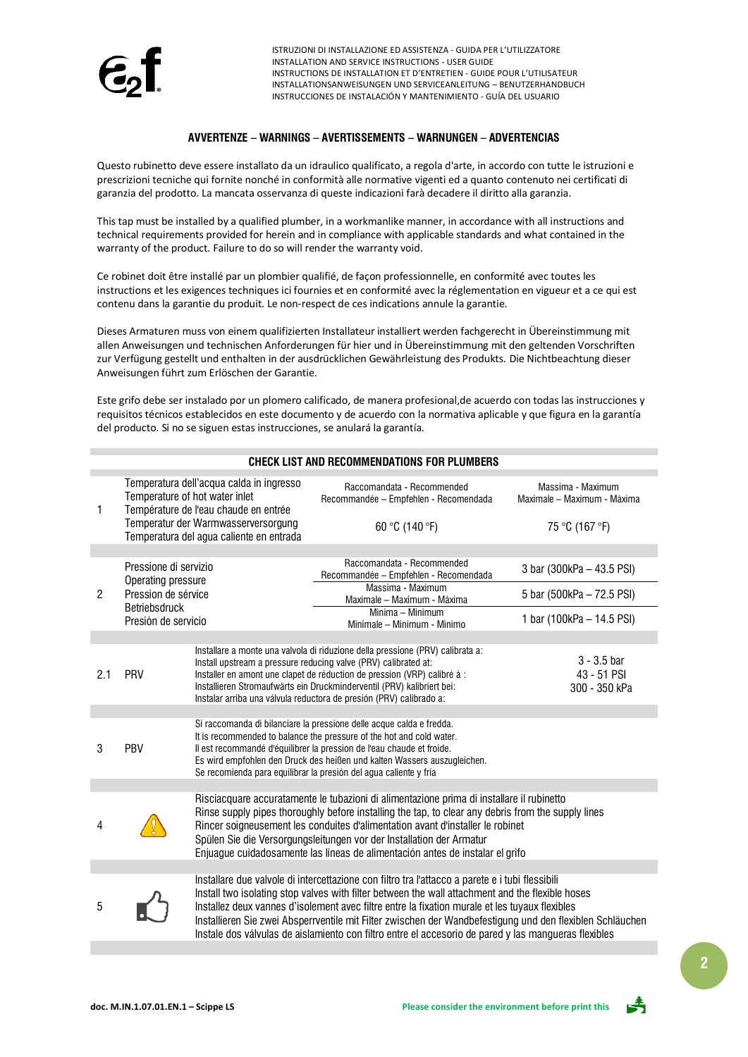

### **AVVERTENZE – WARNINGS – AVERTISSEMENTS – WARNUNGEN – ADVERTENCIAS**

Questo rubinetto deve essere installato da un idraulico qualificato, a regola d'arte, in accordo con tutte le istruzioni e prescrizioni tecniche qui fornite nonché in conformità alle normative vigenti ed a quanto contenuto nei certificati di garanzia del prodotto. La mancata osservanza di queste indicazioni farà decadere il diritto alla garanzia.

This tap must be installed by a qualified plumber, in a workmanlike manner, in accordance with all instructions and technical requirements provided for herein and in compliance with applicable standards and what contained in the warranty of the product. Failure to do so will render the warranty void.

Ce robinet doit être installé par un plombier qualifié, de façon professionnelle, en conformité avec toutes les instructions et les exigences techniques ici fournies et en conformité avec la réglementation en vigueur et a ce qui est contenu dans la garantie du produit. Le non-respect de ces indications annule la garantie.

Dieses Armaturen muss von einem qualifizierten Installateur installiert werden fachgerecht in Übereinstimmung mit allen Anweisungen und technischen Anforderungen für hier und in Übereinstimmung mit den geltenden Vorschriften zur Verfügung gestellt und enthalten in der ausdrücklichen Gewährleistung des Produkts. Die Nichtbeachtung dieser Anweisungen führt zum Erlöschen der Garantie.

Este grifo debe ser instalado por un plomero calificado, de manera profesional,de acuerdo con todas las instrucciones y requisitos técnicos establecidos en este documento y de acuerdo con la normativa aplicable y que figura en la garantía del producto. Si no se siguen estas instrucciones, se anulará la garantía.

| <b>CHECK LIST AND RECOMMENDATIONS FOR PLUMBERS</b> |                                                                                                                                                                                                        |                                                                                                                                                                                                                                                                                                                                                                                                                                            |                                                                                                                                                                                                                                                                                                                                                                                                                                                                                                                            |                                                  |  |  |
|----------------------------------------------------|--------------------------------------------------------------------------------------------------------------------------------------------------------------------------------------------------------|--------------------------------------------------------------------------------------------------------------------------------------------------------------------------------------------------------------------------------------------------------------------------------------------------------------------------------------------------------------------------------------------------------------------------------------------|----------------------------------------------------------------------------------------------------------------------------------------------------------------------------------------------------------------------------------------------------------------------------------------------------------------------------------------------------------------------------------------------------------------------------------------------------------------------------------------------------------------------------|--------------------------------------------------|--|--|
| 1                                                  | Temperatura dell'acqua calda in ingresso<br>Temperature of hot water inlet<br>Température de l'eau chaude en entrée<br>Temperatur der Warmwasserversorgung<br>Temperatura del agua caliente en entrada |                                                                                                                                                                                                                                                                                                                                                                                                                                            | Raccomandata - Recommended<br>Recommandée - Empfehlen - Recomendada                                                                                                                                                                                                                                                                                                                                                                                                                                                        | Massima - Maximum<br>Maximale - Maximum - Màxima |  |  |
|                                                    |                                                                                                                                                                                                        |                                                                                                                                                                                                                                                                                                                                                                                                                                            | 60 °C (140 °F)                                                                                                                                                                                                                                                                                                                                                                                                                                                                                                             | 75 °C (167 °F)                                   |  |  |
|                                                    |                                                                                                                                                                                                        |                                                                                                                                                                                                                                                                                                                                                                                                                                            |                                                                                                                                                                                                                                                                                                                                                                                                                                                                                                                            |                                                  |  |  |
|                                                    | Pressione di servizio<br>Operating pressure                                                                                                                                                            |                                                                                                                                                                                                                                                                                                                                                                                                                                            | Raccomandata - Recommended<br>Recommandée - Empfehlen - Recomendada                                                                                                                                                                                                                                                                                                                                                                                                                                                        | 3 bar (300kPa - 43.5 PSI)                        |  |  |
| $\mathbf{2}$                                       | Pression de sérvice<br><b>Betriebsdruck</b><br>Presión de servicio                                                                                                                                     |                                                                                                                                                                                                                                                                                                                                                                                                                                            | Massima - Maximum<br>Maximale - Maximum - Màxima                                                                                                                                                                                                                                                                                                                                                                                                                                                                           | 5 bar (500kPa - 72.5 PSI)                        |  |  |
|                                                    |                                                                                                                                                                                                        |                                                                                                                                                                                                                                                                                                                                                                                                                                            | Minima - Minimum<br>Minimale - Minimum - Minimo                                                                                                                                                                                                                                                                                                                                                                                                                                                                            | 1 bar (100kPa - 14.5 PSI)                        |  |  |
|                                                    |                                                                                                                                                                                                        |                                                                                                                                                                                                                                                                                                                                                                                                                                            |                                                                                                                                                                                                                                                                                                                                                                                                                                                                                                                            |                                                  |  |  |
| 2.1                                                | PRV                                                                                                                                                                                                    |                                                                                                                                                                                                                                                                                                                                                                                                                                            | Installare a monte una valvola di riduzione della pressione (PRV) calibrata a:<br>Install upstream a pressure reducing valve (PRV) calibrated at:<br>Installer en amont une clapet de réduction de pression (VRP) calibré à :<br>Installieren Stromaufwärts ein Druckminderventil (PRV) kalibriert bei:<br>Instalar arriba una válvula reductora de presión (PRV) calibrado a:                                                                                                                                             | $3 - 3.5$ bar<br>43 - 51 PSI<br>300 - 350 kPa    |  |  |
|                                                    |                                                                                                                                                                                                        |                                                                                                                                                                                                                                                                                                                                                                                                                                            |                                                                                                                                                                                                                                                                                                                                                                                                                                                                                                                            |                                                  |  |  |
| 3                                                  | PBV                                                                                                                                                                                                    | Si raccomanda di bilanciare la pressione delle acque calda e fredda.<br>It is recommended to balance the pressure of the hot and cold water.<br>Il est recommandé d'équilibrer la pression de l'eau chaude et froide.<br>Es wird empfohlen den Druck des heißen und kalten Wassers auszugleichen.<br>Se recomienda para equilibrar la presión del agua caliente y fría                                                                     |                                                                                                                                                                                                                                                                                                                                                                                                                                                                                                                            |                                                  |  |  |
|                                                    |                                                                                                                                                                                                        |                                                                                                                                                                                                                                                                                                                                                                                                                                            |                                                                                                                                                                                                                                                                                                                                                                                                                                                                                                                            |                                                  |  |  |
| 4                                                  |                                                                                                                                                                                                        | Risciacquare accuratamente le tubazioni di alimentazione prima di installare il rubinetto<br>Rinse supply pipes thoroughly before installing the tap, to clear any debris from the supply lines<br>Rincer soigneusement les conduites d'alimentation avant d'installer le robinet<br>Spülen Sie die Versorgungsleitungen vor der Installation der Armatur<br>Enjuague cuidadosamente las líneas de alimentación antes de instalar el grifo |                                                                                                                                                                                                                                                                                                                                                                                                                                                                                                                            |                                                  |  |  |
|                                                    |                                                                                                                                                                                                        |                                                                                                                                                                                                                                                                                                                                                                                                                                            |                                                                                                                                                                                                                                                                                                                                                                                                                                                                                                                            |                                                  |  |  |
| 5                                                  |                                                                                                                                                                                                        |                                                                                                                                                                                                                                                                                                                                                                                                                                            | Installare due valvole di intercettazione con filtro tra l'attacco a parete e i tubi flessibili<br>Install two isolating stop valves with filter between the wall attachment and the flexible hoses<br>Installez deux vannes d'isolement avec filtre entre la fixation murale et les tuyaux flexibles<br>Installieren Sie zwei Absperrventile mit Filter zwischen der Wandbefestigung und den flexiblen Schläuchen<br>Instale dos válvulas de aislamiento con filtro entre el accesorio de pared y las mangueras flexibles |                                                  |  |  |

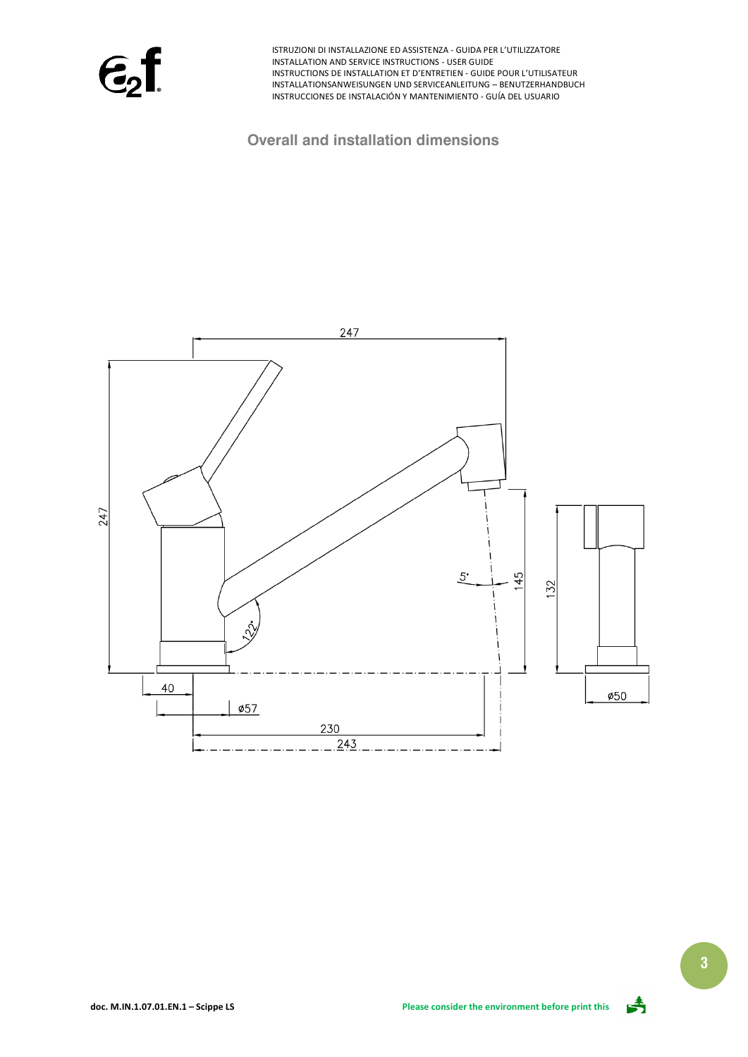$\epsilon$ <sub>2</sub>f

### **Overall and installation dimensions**





**3**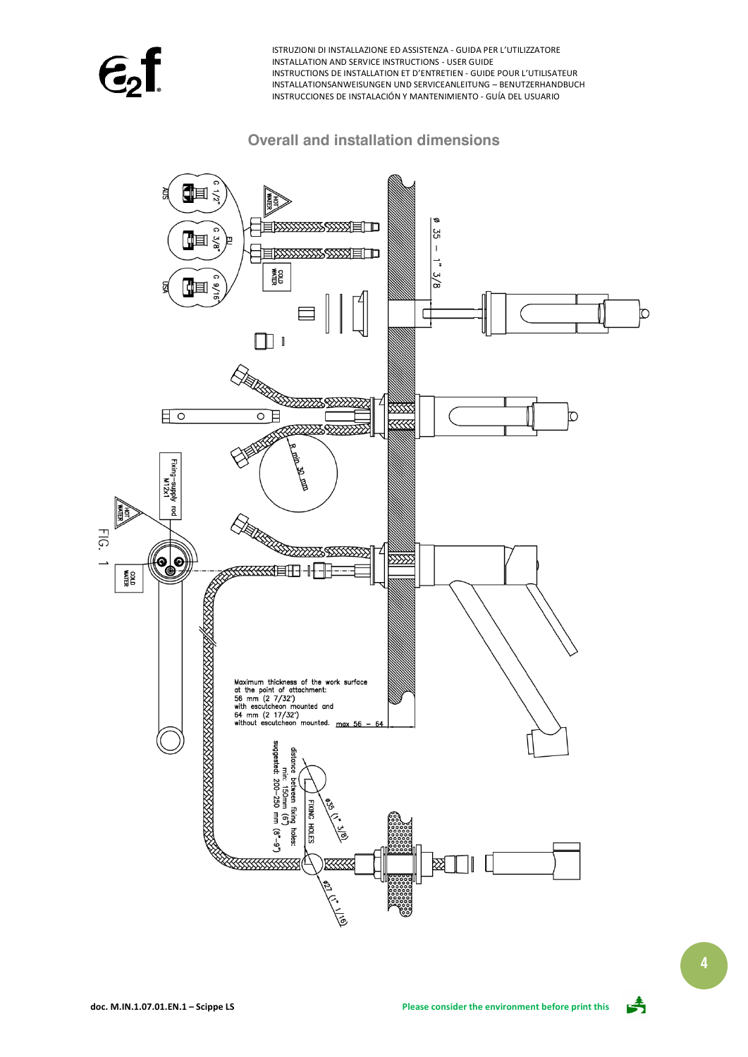$\epsilon$ ,

# **Overall and installation dimensions**



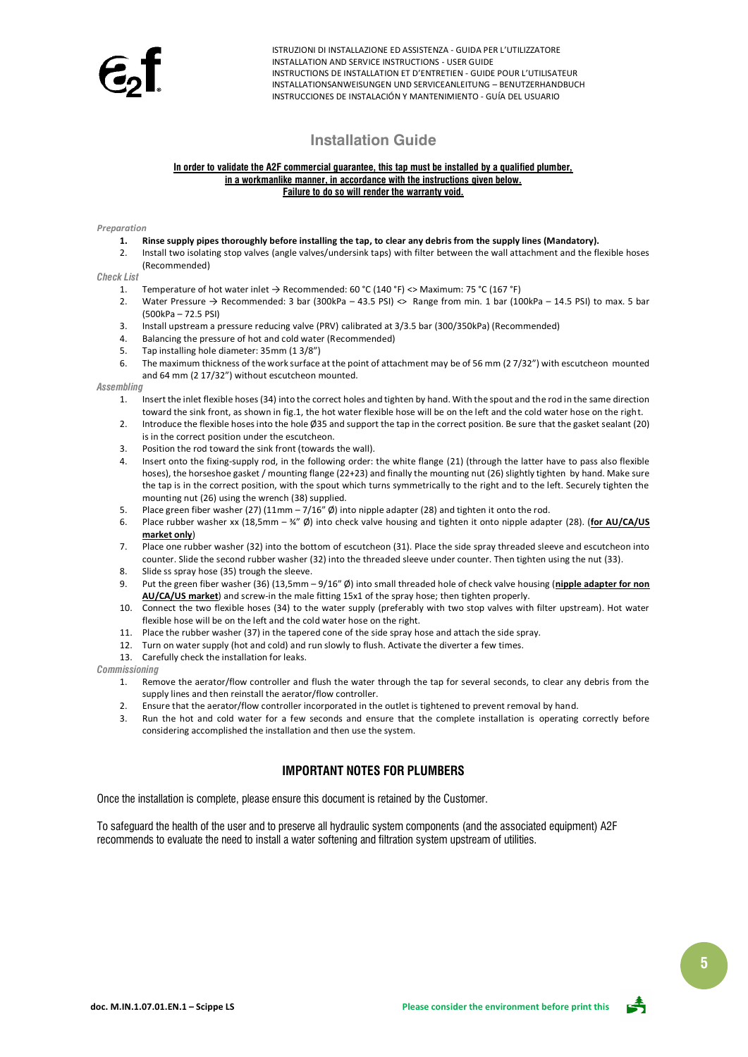### **Installation Guide**

#### **In order to validate the A2F commercial guarantee, this tap must be installed by a qualified plumber, in a workmanlike manner, in accordance with the instructions given below. Failure to do so will render the warranty void.**

#### *Preparation*

- **1. Rinse supply pipes thoroughly before installing the tap, to clear any debris from the supply lines (Mandatory).**
- 2. Install two isolating stop valves (angle valves/undersink taps) with filter between the wall attachment and the flexible hoses (Recommended)

### *Check List*

- 1. Temperature of hot water inlet  $\rightarrow$  Recommended: 60 °C (140 °F) <> Maximum: 75 °C (167 °F)
- 2. Water Pressure  $\rightarrow$  Recommended: 3 bar (300kPa 43.5 PSI)  $\lt$  Range from min. 1 bar (100kPa 14.5 PSI) to max. 5 bar (500kPa – 72.5 PSI)
- 3. Install upstream a pressure reducing valve (PRV) calibrated at 3/3.5 bar (300/350kPa) (Recommended)
- 4. Balancing the pressure of hot and cold water (Recommended)
- 5. Tap installing hole diameter: 35mm (1 3/8")
- 6. The maximum thickness of the work surface at the point of attachment may be of 56 mm (2 7/32") with escutcheon mounted and 64 mm (2 17/32") without escutcheon mounted.

### *Assembling*

- 1. Insert the inlet flexible hoses (34) into the correct holes and tighten by hand. With the spout and the rod in the same direction toward the sink front, as shown in fig.1, the hot water flexible hose will be on the left and the cold water hose on the right.
- 2. Introduce the flexible hoses into the hole Ø35 and support the tap in the correct position. Be sure that the gasket sealant (20) is in the correct position under the escutcheon.
- 3. Position the rod toward the sink front (towards the wall).
- 4. Insert onto the fixing-supply rod, in the following order: the white flange (21) (through the latter have to pass also flexible hoses), the horseshoe gasket / mounting flange (22+23) and finally the mounting nut (26) slightly tighten by hand. Make sure the tap is in the correct position, with the spout which turns symmetrically to the right and to the left. Securely tighten the mounting nut (26) using the wrench (38) supplied.
- 5. Place green fiber washer (27) (11mm 7/16"  $\emptyset$ ) into nipple adapter (28) and tighten it onto the rod.<br>6. Place rubber washer xx (18.5mm ¾"  $\emptyset$ ) into check valve housing and tighten it onto nipple adapt
- 6. Place rubber washer xx (18,5mm ¾" Ø) into check valve housing and tighten it onto nipple adapter (28). (**for AU/CA/US market only**)
- 7. Place one rubber washer (32) into the bottom of escutcheon (31). Place the side spray threaded sleeve and escutcheon into counter. Slide the second rubber washer (32) into the threaded sleeve under counter. Then tighten using the nut (33).
- 8. Slide ss spray hose (35) trough the sleeve.
- 9. Put the green fiber washer (36) (13,5mm 9/16" Ø) into small threaded hole of check valve housing (**nipple adapter for non AU/CA/US market**) and screw-in the male fitting 15x1 of the spray hose; then tighten properly.
- 10. Connect the two flexible hoses (34) to the water supply (preferably with two stop valves with filter upstream). Hot water flexible hose will be on the left and the cold water hose on the right.
- 11. Place the rubber washer (37) in the tapered cone of the side spray hose and attach the side spray.
- 12. Turn on water supply (hot and cold) and run slowly to flush. Activate the diverter a few times.
- 13. Carefully check the installation for leaks.
- *Commissioning*
	- 1. Remove the aerator/flow controller and flush the water through the tap for several seconds, to clear any debris from the supply lines and then reinstall the aerator/flow controller.
	- 2. Ensure that the aerator/flow controller incorporated in the outlet is tightened to prevent removal by hand.
	- 3. Run the hot and cold water for a few seconds and ensure that the complete installation is operating correctly before considering accomplished the installation and then use the system.

### **IMPORTANT NOTES FOR PLUMBERS**

Once the installation is complete, please ensure this document is retained by the Customer.

To safeguard the health of the user and to preserve all hydraulic system components (and the associated equipment) A2F recommends to evaluate the need to install a water softening and filtration system upstream of utilities.

**5**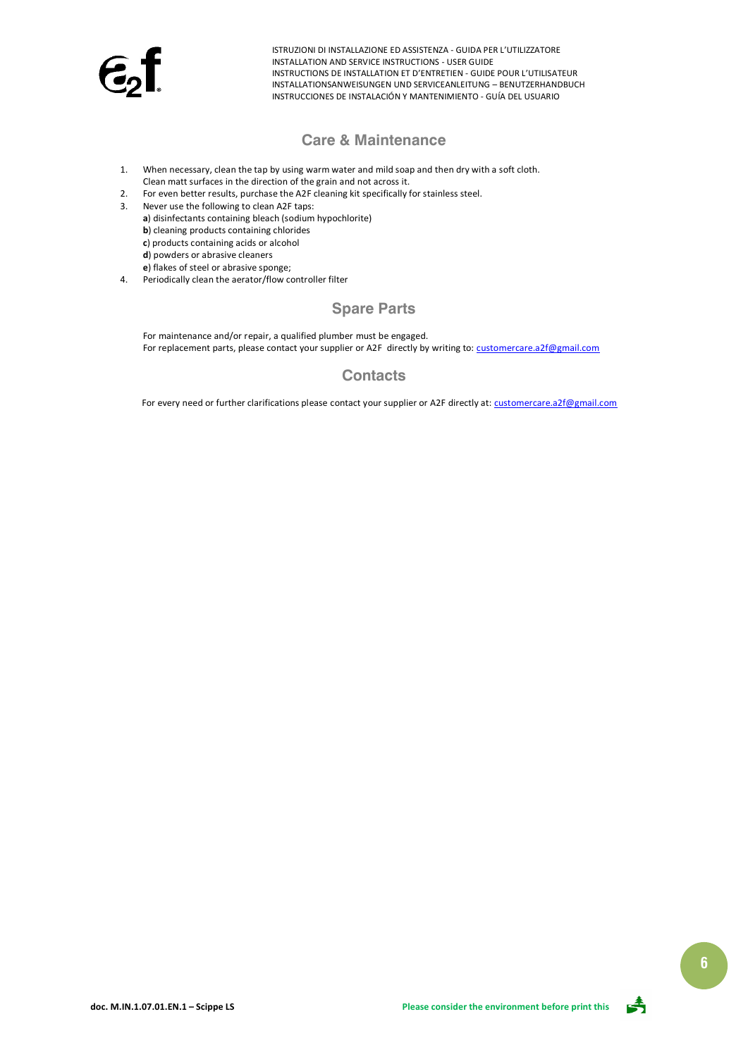

### **Care & Maintenance**

- 1. When necessary, clean the tap by using warm water and mild soap and then dry with a soft cloth. Clean matt surfaces in the direction of the grain and not across it.
- 2. For even better results, purchase the A2F cleaning kit specifically for stainless steel.
- 3. Never use the following to clean A2F taps:
	- **a**) disinfectants containing bleach (sodium hypochlorite)
	- **b**) cleaning products containing chlorides
	- **c**) products containing acids or alcohol
	- **d**) powders or abrasive cleaners
	- **e**) flakes of steel or abrasive sponge;
- 4. Periodically clean the aerator/flow controller filter

# **Spare Parts**

For maintenance and/or repair, a qualified plumber must be engaged. For replacement parts, please contact your supplier or A2F directly by writing to[: customercare.a2f@gmail.com](mailto:customercare.a2f@gmail.com)

# **Contacts**

For every need or further clarifications please contact your supplier or A2F directly at[: customercare.a2f@gmail.com](mailto:customercare.a2f@gmail.com)